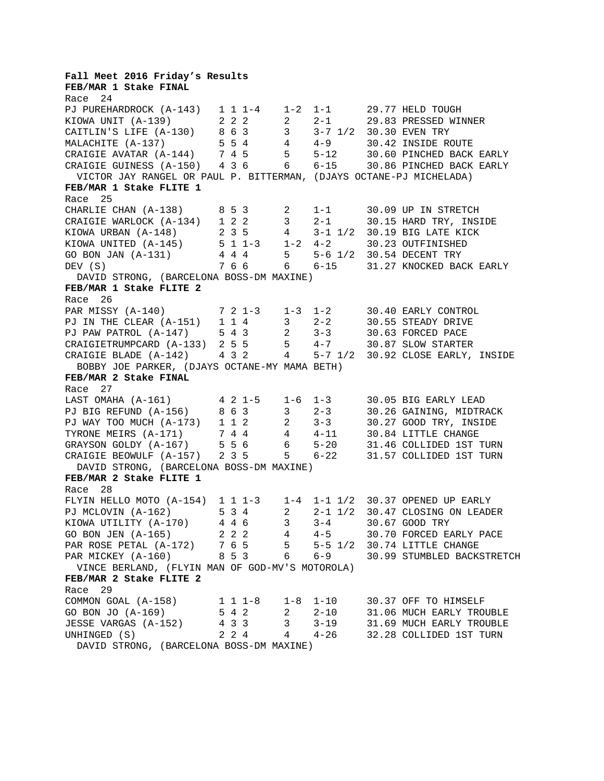**Fall Meet 2016 Friday's Results FEB/MAR 1 Stake FINAL**  Race 24 PJ PUREHARDROCK (A-143) 1 1 1-4 1-2 1-1 29.77 HELD TOUGH KIOWA UNIT (A-139) 2 2 2 2 2-1 29.83 PRESSED WINNER CAITLIN'S LIFE (A-130) 8 6 3 3 3-7 1/2 30.30 EVEN TRY MALACHITE (A-137) 5 5 4 4 4-9 30.42 INSIDE ROUTE CRAIGIE AVATAR (A-144) 7 4 5 5 5-12 30.60 PINCHED BACK EARLY CRAIGIE GUINESS (A-150) 4 3 6 6 6-15 30.86 PINCHED BACK EARLY VICTOR JAY RANGEL OR PAUL P. BITTERMAN, (DJAYS OCTANE-PJ MICHELADA) **FEB/MAR 1 Stake FLITE 1**  Race 25 CHARLIE CHAN (A-138) 8 5 3 2 1-1 30.09 UP IN STRETCH CRAIGIE WARLOCK  $(A-134)$  1 2 2 3 2-1 30.15 HARD TRY, INSIDE KIOWA URBAN (A-148) 2 3 5 4 3-1 1/2 30.19 BIG LATE KICK KIOWA UNITED (A-145) 5 1 1-3 1-2 4-2 30.23 OUTFINISHED GO BON JAN (A-131) 4 4 4 5 5-6 1/2 30.54 DECENT TRY DEV (S)  $766$  6 6-15 31.27 KNOCKED BACK EARLY DAVID STRONG, (BARCELONA BOSS-DM MAXINE) **FEB/MAR 1 Stake FLITE 2**  Race 26 PAR MISSY (A-140) 7 2 1-3 1-3 1-2 30.40 EARLY CONTROL PJ IN THE CLEAR (A-151) 1 1 4 3 2-2 30.55 STEADY DRIVE PJ PAW PATROL (A-147) 5 4 3 2 3-3 30.63 FORCED PACE CRAIGIETRUMPCARD (A-133) 2 5 5 5 4-7 30.87 SLOW STARTER CRAIGIE BLADE (A-142) 4 3 2 4 5-7 1/2 30.92 CLOSE EARLY, INSIDE BOBBY JOE PARKER, (DJAYS OCTANE-MY MAMA BETH) **FEB/MAR 2 Stake FINAL**  Race 27 LAST OMAHA (A-161) 4 2 1-5 1-6 1-3 30.05 BIG EARLY LEAD PJ BIG REFUND (A-156) 8 6 3 3 2-3 30.26 GAINING, MIDTRACK PJ WAY TOO MUCH (A-173) 1 1 2 2 3-3 30.27 GOOD TRY, INSIDE TYRONE MEIRS  $(A-171)$  7 4 4 4 4-11 30.84 LITTLE CHANGE GRAYSON GOLDY (A-167) 5 5 6 6 5-20 31.46 COLLIDED 1ST TURN CRAIGIE BEOWULF  $(A-157)$  2 3 5 5 6-22 31.57 COLLIDED 1ST TURN DAVID STRONG, (BARCELONA BOSS-DM MAXINE) **FEB/MAR 2 Stake FLITE 1**  Race 28 FLYIN HELLO MOTO (A-154) 1 1 1-3 1-4 1-1 1/2 30.37 OPENED UP EARLY PJ MCLOVIN (A-162) 5 3 4 2 2-1 1/2 30.47 CLOSING ON LEADER KIOWA UTILITY (A-170) 4 4 6 3 3-4 30.67 GOOD TRY GO BON JEN (A-165) 2 2 2 4 4-5 30.70 FORCED EARLY PACE PAR ROSE PETAL (A-172) 7 6 5 5 5-5 1/2 30.74 LITTLE CHANGE PAR MICKEY (A-160) 8 5 3 6 6-9 30.99 STUMBLED BACKSTRETCH VINCE BERLAND, (FLYIN MAN OF GOD-MV'S MOTOROLA) **FEB/MAR 2 Stake FLITE 2**  Race 29 COMMON GOAL  $(A-158)$  1 1 1-8 1-8 1-10 30.37 OFF TO HIMSELF GO BON JO (A-169) 5 4 2 2 2-10 31.06 MUCH EARLY TROUBLE JESSE VARGAS (A-152) 4 3 3 3 3-19 31.69 MUCH EARLY TROUBLE UNHINGED (S)  $2 \t2 \t4 \t4 - 26 \t32.28$  COLLIDED 1ST TURN DAVID STRONG, (BARCELONA BOSS-DM MAXINE)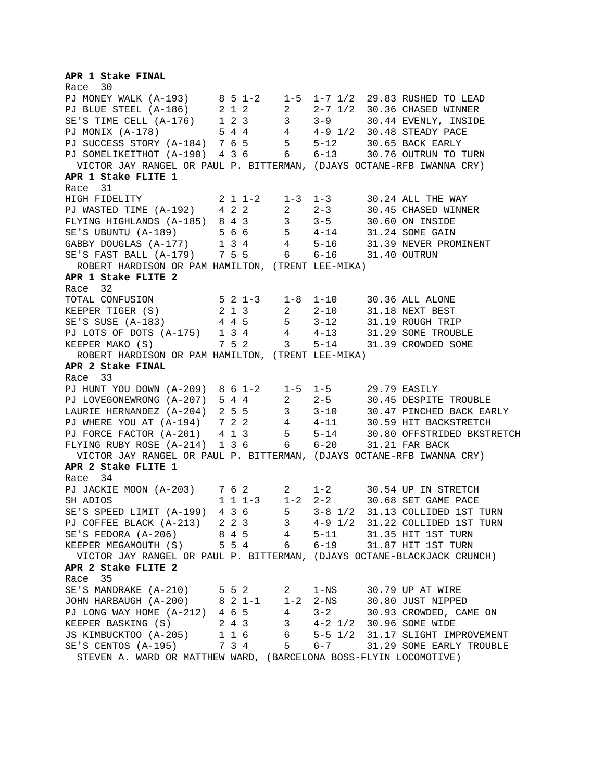**APR 1 Stake FINAL**  Race 30 PJ MONEY WALK (A-193) 8 5 1-2 1-5 1-7 1/2 29.83 RUSHED TO LEAD PJ BLUE STEEL (A-186) 2 1 2 2 2-7 1/2 30.36 CHASED WINNER SE'S TIME CELL (A-176) 1 2 3 3 3-9 30.44 EVENLY, INSIDE PJ MONIX (A-178) 5 4 4 4 4-9 1/2 30.48 STEADY PACE PJ SUCCESS STORY (A-184) 7 6 5 5 5-12 30.65 BACK EARLY PJ SOMELIKEITHOT (A-190) 4 3 6 6 6-13 30.76 OUTRUN TO TURN VICTOR JAY RANGEL OR PAUL P. BITTERMAN, (DJAYS OCTANE-RFB IWANNA CRY) **APR 1 Stake FLITE 1**  Race 31 HIGH FIDELITY 2 1 1-2 1-3 1-3 30.24 ALL THE WAY PJ WASTED TIME (A-192) 4 2 2 2 2-3 30.45 CHASED WINNER FLYING HIGHLANDS (A-185) 8 4 3 3 3-5 30.60 ON INSIDE SE'S UBUNTU (A-189) 5 6 6 5 4-14 31.24 SOME GAIN GABBY DOUGLAS (A-177) 1 3 4 4 5-16 31.39 NEVER PROMINENT SE'S FAST BALL (A-179) 7 5 5 6 6-16 31.40 OUTRUN ROBERT HARDISON OR PAM HAMILTON, (TRENT LEE-MIKA) **APR 1 Stake FLITE 2**  Race 32 TOTAL CONFUSION 5 2 1-3 1-8 1-10 30.36 ALL ALONE KEEPER TIGER (S) 2 1 3 2 2-10 31.18 NEXT BEST SE'S SUSE (A-183) 4 4 5 5 3-12 31.19 ROUGH TRIP PJ LOTS OF DOTS (A-175) 1 3 4 4 4-13 31.29 SOME TROUBLE KEEPER MAKO (S) 7 5 2 3 5-14 31.39 CROWDED SOME ROBERT HARDISON OR PAM HAMILTON, (TRENT LEE-MIKA) **APR 2 Stake FINAL**  Race 33 PJ HUNT YOU DOWN (A-209) 8 6 1-2 1-5 1-5 29.79 EASILY PJ LOVEGONEWRONG (A-207) 5 4 4 2 2-5 30.45 DESPITE TROUBLE LAURIE HERNANDEZ (A-204) 2 5 5 3 3-10 30.47 PINCHED BACK EARLY PJ WHERE YOU AT (A-194) 7 2 2 4 4-11 30.59 HIT BACKSTRETCH PJ FORCE FACTOR (A-201) 4 1 3 5 5-14 30.80 OFFSTRIDED BKSTRETCH FLYING RUBY ROSE (A-214) 1 3 6 6 6-20 31.21 FAR BACK VICTOR JAY RANGEL OR PAUL P. BITTERMAN, (DJAYS OCTANE-RFB IWANNA CRY) **APR 2 Stake FLITE 1**  Race 34 PJ JACKIE MOON (A-203) 7 6 2 2 1-2 30.54 UP IN STRETCH SH ADIOS 1 1 1-3 1-2 2-2 30.68 SET GAME PACE SE'S SPEED LIMIT (A-199) 4 3 6 5 3-8 1/2 31.13 COLLIDED 1ST TURN PJ COFFEE BLACK (A-213) 2 2 3 3 4-9 1/2 31.22 COLLIDED 1ST TURN SE'S FEDORA (A-206) 8 4 5 4 5-11 31.35 HIT 1ST TURN KEEPER MEGAMOUTH (S) 5 5 4 6 6-19 31.87 HIT 1ST TURN VICTOR JAY RANGEL OR PAUL P. BITTERMAN, (DJAYS OCTANE-BLACKJACK CRUNCH) **APR 2 Stake FLITE 2**  Race 35 SE'S MANDRAKE (A-210) 5 5 2 2 1-NS 30.79 UP AT WIRE JOHN HARBAUGH (A-200) 8 2 1-1 1-2 2-NS 30.80 JUST NIPPED PJ LONG WAY HOME (A-212) 4 6 5 4 3-2 30.93 CROWDED, CAME ON KEEPER BASKING (S) 2 4 3 3 4-2 1/2 30.96 SOME WIDE JS KIMBUCKTOO (A-205) 1 1 6 6 5-5 1/2 31.17 SLIGHT IMPROVEMENT SE'S CENTOS (A-195) 7 3 4 5 6-7 31.29 SOME EARLY TROUBLE STEVEN A. WARD OR MATTHEW WARD, (BARCELONA BOSS-FLYIN LOCOMOTIVE)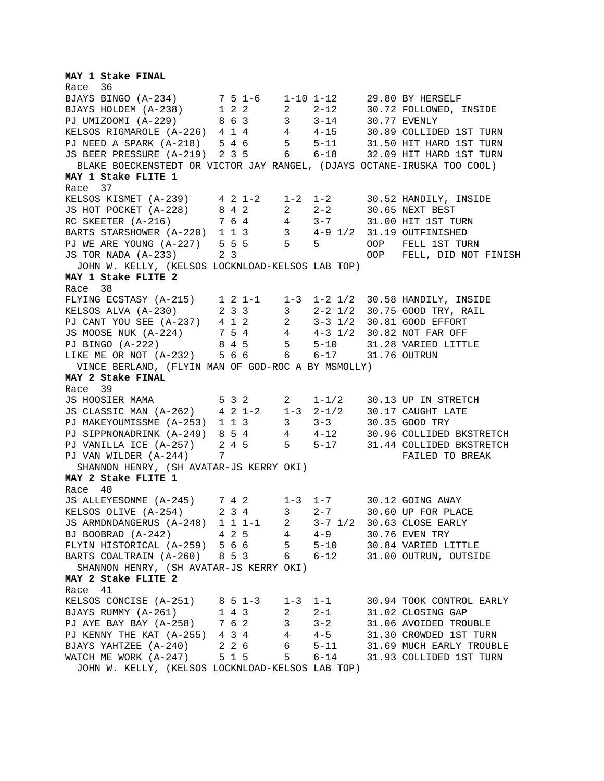**MAY 1 Stake FINAL**  Race 36 BJAYS BINGO (A-234) 7 5 1-6 1-10 1-12 29.80 BY HERSELF BJAYS HOLDEM (A-238) 1 2 2 2 2-12 30.72 FOLLOWED, INSIDE PJ UMIZOOMI (A-229) 8 6 3 3 3-14 30.77 EVENLY KELSOS RIGMAROLE (A-226) 4 1 4 4 4-15 30.89 COLLIDED 1ST TURN PJ NEED A SPARK (A-218) 5 4 6 5 5-11 31.50 HIT HARD 1ST TURN JS BEER PRESSURE (A-219) 2 3 5 6 6-18 32.09 HIT HARD 1ST TURN BLAKE BOECKENSTEDT OR VICTOR JAY RANGEL, (DJAYS OCTANE-IRUSKA TOO COOL) **MAY 1 Stake FLITE 1**  Race 37 KELSOS KISMET (A-239) 4 2 1-2 1-2 1-2 30.52 HANDILY, INSIDE JS HOT POCKET (A-228) 8 4 2 2 2-2 30.65 NEXT BEST RC SKEETER (A-216) 7 6 4 4 3-7 31.00 HIT 1ST TURN BARTS STARSHOWER (A-220) 1 1 3 3 4-9 1/2 31.19 OUTFINISHED PJ WE ARE YOUNG (A-227) 5 5 5 5 5 OOP FELL 1ST TURN JS TOR NADA (A-233) 2 3 OOP FELL, DID NOT FINISH JOHN W. KELLY, (KELSOS LOCKNLOAD-KELSOS LAB TOP) **MAY 1 Stake FLITE 2**  Race 38 FLYING ECSTASY (A-215) 1 2 1-1 1-3 1-2 1/2 30.58 HANDILY, INSIDE KELSOS ALVA (A-230) 2 3 3 3 2-2 1/2 30.75 GOOD TRY, RAIL PJ CANT YOU SEE (A-237) 4 1 2 2 3-3 1/2 30.81 GOOD EFFORT JS MOOSE NUK (A-224) 7 5 4 4 4-3 1/2 30.82 NOT FAR OFF PJ BINGO (A-222) 8 4 5 5 5-10 31.28 VARIED LITTLE LIKE ME OR NOT (A-232) 5 6 6 6 6-17 31.76 OUTRUN VINCE BERLAND, (FLYIN MAN OF GOD-ROC A BY MSMOLLY) **MAY 2 Stake FINAL**  Race 39 JS HOOSIER MAMA 5 3 2 2 1-1/2 30.13 UP IN STRETCH JS CLASSIC MAN (A-262) 4 2 1-2 1-3 2-1/2 30.17 CAUGHT LATE PJ MAKEYOUMISSME (A-253) 1 1 3 3 3-3 30.35 GOOD TRY PJ SIPPNONADRINK (A-249) 8 5 4 4 4-12 30.96 COLLIDED BKSTRETCH PJ VANILLA ICE (A-257) 2 4 5 5 5-17 31.44 COLLIDED BKSTRETCH PJ VANILLA ICE (A-257) 2 4 5 5 5-17 31.44 COLLIDED BKSTRET<br>PJ VAN WILDER (A-244) 7 SHANNON HENRY, (SH AVATAR-JS KERRY OKI) **MAY 2 Stake FLITE 1**  Race 40 JS ALLEYESONME (A-245) 7 4 2 1-3 1-7 30.12 GOING AWAY KELSOS OLIVE (A-254) 2 3 4 3 2-7 30.60 UP FOR PLACE JS ARMDNDANGERUS (A-248) 1 1 1-1 2 3-7 1/2 30.63 CLOSE EARLY BJ BOOBRAD (A-242) 4 2 5 4 4-9 30.76 EVEN TRY FLYIN HISTORICAL (A-259) 5 6 6 5 5-10 30.84 VARIED LITTLE BARTS COALTRAIN (A-260) 8 5 3 6 6-12 31.00 OUTRUN, OUTSIDE SHANNON HENRY, (SH AVATAR-JS KERRY OKI) **MAY 2 Stake FLITE 2**  Race 41 KELSOS CONCISE (A-251) 8 5 1-3 1-3 1-1 30.94 TOOK CONTROL EARLY BJAYS RUMMY (A-261) 1 4 3 2 2-1 31.02 CLOSING GAP PJ AYE BAY BAY (A-258) 7 6 2 3 3-2 31.06 AVOIDED TROUBLE PJ KENNY THE KAT (A-255) 4 3 4 4 4-5 31.30 CROWDED 1ST TURN BJAYS YAHTZEE (A-240) 2 2 6 6 5-11 31.69 MUCH EARLY TROUBLE WATCH ME WORK (A-247) 5 1 5 5 6-14 31.93 COLLIDED 1ST TURN JOHN W. KELLY, (KELSOS LOCKNLOAD-KELSOS LAB TOP)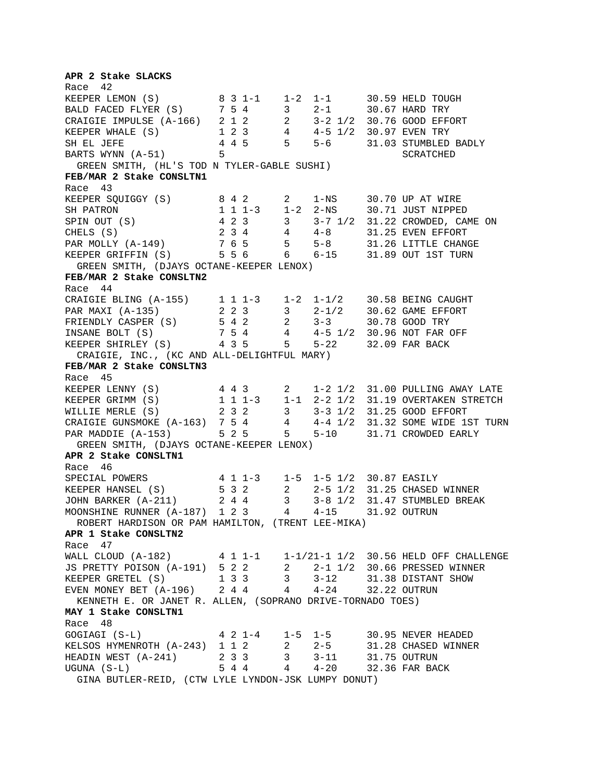**APR 2 Stake SLACKS**  Race 42 KEEPER LEMON (S) 8 3 1-1 1-2 1-1 30.59 HELD TOUGH BALD FACED FLYER (S) 7 5 4 3 2-1 30.67 HARD TRY CRAIGIE IMPULSE (A-166) 2 1 2 2 3-2 1/2 30.76 GOOD EFFORT KEEPER WHALE (S) 1 2 3 4 4-5 1/2 30.97 EVEN TRY SH EL JEFE  $4 4 5 5 -6 31.03$  STUMBLED BADLY BARTS WYNN (A-51) 5 5 SCRATCHED GREEN SMITH, (HL'S TOD N TYLER-GABLE SUSHI) **FEB/MAR 2 Stake CONSLTN1**  Race 43 KEEPER SQUIGGY (S) 8 4 2 2 1-NS 30.70 UP AT WIRE<br>SH PATRON 1 1 1-3 1-2 2-NS 30.71 JUST NIPPED SH PATRON 1 1 1-3 1-2 2-NS 30.71 JUST NIPPED SPIN OUT (S) 4 2 3 3 3-7 1/2 31.22 CROWDED, CAME ON CHELS (S)  $2 \t3 \t4 \t4 \t4-8 \t31.25$  EVEN EFFORT PAR MOLLY (A-149) 7 6 5 5 5-8 31.26 LITTLE CHANGE KEEPER GRIFFIN (S) 5 5 6 6 6-15 31.89 OUT 1ST TURN GREEN SMITH, (DJAYS OCTANE-KEEPER LENOX) **FEB/MAR 2 Stake CONSLTN2**  Race 44 CRAIGIE BLING (A-155) 1 1 1-3 1-2 1-1/2 30.58 BEING CAUGHT PAR MAXI (A-135) 2 2 3 3 2-1/2 30.62 GAME EFFORT FRIENDLY CASPER (S) 5 4 2 2 3-3 30.78 GOOD TRY INSANE BOLT (S) 7 5 4 4 4-5 1/2 30.96 NOT FAR OFF KEEPER SHIRLEY (S) 4 3 5 5 5-22 32.09 FAR BACK CRAIGIE, INC., (KC AND ALL-DELIGHTFUL MARY) **FEB/MAR 2 Stake CONSLTN3**  Race 45 KEEPER LENNY (S) 4 4 3 2 1-2 1/2 31.00 PULLING AWAY LATE KEEPER GRIMM (S) 1 1 1-3 1-1 2-2 1/2 31.19 OVERTAKEN STRETCH WILLIE MERLE (S)  $\begin{array}{cccc} 2 & 3 & 2 & 3 & -3 & 1/2 & 31.25 & \text{GOOD}} \end{array}$  SFFORT CRAIGIE GUNSMOKE  $(A-163)$  7 5 4 4  $4-4$  1/2 31.32 SOME WIDE 1ST TURN PAR MADDIE (A-153) 5 2 5 5 5-10 31.71 CROWDED EARLY GREEN SMITH, (DJAYS OCTANE-KEEPER LENOX) **APR 2 Stake CONSLTN1**  Race 46 SPECIAL POWERS 4 1 1-3 1-5 1-5 1/2 30.87 EASILY KEEPER HANSEL (S) 5 3 2 2 2-5 1/2 31.25 CHASED WINNER JOHN BARKER (A-211) 2 4 4 3 3-8 1/2 31.47 STUMBLED BREAK MOONSHINE RUNNER (A-187) 1 2 3 4 4-15 31.92 OUTRUN ROBERT HARDISON OR PAM HAMILTON, (TRENT LEE-MIKA) **APR 1 Stake CONSLTN2**  Race 47 WALL CLOUD (A-182) 4 1 1-1 1-1/21-1 1/2 30.56 HELD OFF CHALLENGE JS PRETTY POISON (A-191) 5 2 2 2 2-1 1/2 30.66 PRESSED WINNER KEEPER GRETEL (S)  $1 \t3 \t3 \t3 \t3 \t3-12 \t31.38 \tDISTANT$  SHOW EVEN MONEY BET (A-196) 2 4 4 4 4-24 32.22 OUTRUN KENNETH E. OR JANET R. ALLEN, (SOPRANO DRIVE-TORNADO TOES) **MAY 1 Stake CONSLTN1**  Race 48 GOGIAGI (S-L) 4 2 1-4 1-5 1-5 30.95 NEVER HEADED KELSOS HYMENROTH (A-243) 1 1 2 2 2-5 31.28 CHASED WINNER HEADIN WEST (A-241) 2 3 3 3 3-11 31.75 OUTRUN UGUNA  $(S-L)$  5 4 4 4 4 - 20 32.36 FAR BACK GINA BUTLER-REID, (CTW LYLE LYNDON-JSK LUMPY DONUT)